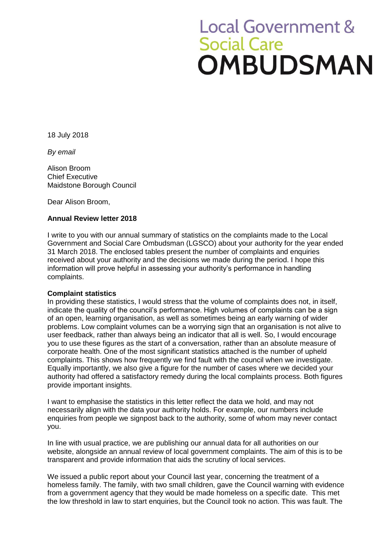# **Local Government & Social Care** OMBUDSMAN

18 July 2018

*By email*

Alison Broom Chief Executive Maidstone Borough Council

Dear Alison Broom,

# **Annual Review letter 2018**

I write to you with our annual summary of statistics on the complaints made to the Local Government and Social Care Ombudsman (LGSCO) about your authority for the year ended 31 March 2018. The enclosed tables present the number of complaints and enquiries received about your authority and the decisions we made during the period. I hope this information will prove helpful in assessing your authority's performance in handling complaints.

## **Complaint statistics**

In providing these statistics, I would stress that the volume of complaints does not, in itself, indicate the quality of the council's performance. High volumes of complaints can be a sign of an open, learning organisation, as well as sometimes being an early warning of wider problems. Low complaint volumes can be a worrying sign that an organisation is not alive to user feedback, rather than always being an indicator that all is well. So, I would encourage you to use these figures as the start of a conversation, rather than an absolute measure of corporate health. One of the most significant statistics attached is the number of upheld complaints. This shows how frequently we find fault with the council when we investigate. Equally importantly, we also give a figure for the number of cases where we decided your authority had offered a satisfactory remedy during the local complaints process. Both figures provide important insights.

I want to emphasise the statistics in this letter reflect the data we hold, and may not necessarily align with the data your authority holds. For example, our numbers include enquiries from people we signpost back to the authority, some of whom may never contact you.

In line with usual practice, we are publishing our annual data for all authorities on our website, alongside an annual review of local government complaints. The aim of this is to be transparent and provide information that aids the scrutiny of local services.

We issued a public report about your Council last year, concerning the treatment of a homeless family. The family, with two small children, gave the Council warning with evidence from a government agency that they would be made homeless on a specific date. This met the low threshold in law to start enquiries, but the Council took no action. This was fault. The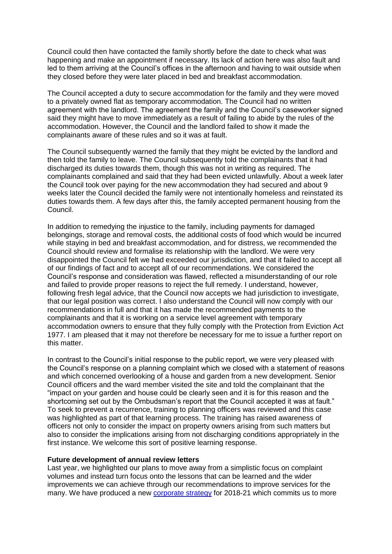Council could then have contacted the family shortly before the date to check what was happening and make an appointment if necessary. Its lack of action here was also fault and led to them arriving at the Council's offices in the afternoon and having to wait outside when they closed before they were later placed in bed and breakfast accommodation.

The Council accepted a duty to secure accommodation for the family and they were moved to a privately owned flat as temporary accommodation. The Council had no written agreement with the landlord. The agreement the family and the Council's caseworker signed said they might have to move immediately as a result of failing to abide by the rules of the accommodation. However, the Council and the landlord failed to show it made the complainants aware of these rules and so it was at fault.

The Council subsequently warned the family that they might be evicted by the landlord and then told the family to leave. The Council subsequently told the complainants that it had discharged its duties towards them, though this was not in writing as required. The complainants complained and said that they had been evicted unlawfully. About a week later the Council took over paying for the new accommodation they had secured and about 9 weeks later the Council decided the family were not intentionally homeless and reinstated its duties towards them. A few days after this, the family accepted permanent housing from the Council.

In addition to remedying the injustice to the family, including payments for damaged belongings, storage and removal costs, the additional costs of food which would be incurred while staying in bed and breakfast accommodation, and for distress, we recommended the Council should review and formalise its relationship with the landlord. We were very disappointed the Council felt we had exceeded our jurisdiction, and that it failed to accept all of our findings of fact and to accept all of our recommendations. We considered the Council's response and consideration was flawed, reflected a misunderstanding of our role and failed to provide proper reasons to reject the full remedy. I understand, however, following fresh legal advice, that the Council now accepts we had jurisdiction to investigate, that our legal position was correct. I also understand the Council will now comply with our recommendations in full and that it has made the recommended payments to the complainants and that it is working on a service level agreement with temporary accommodation owners to ensure that they fully comply with the Protection from Eviction Act 1977. I am pleased that it may not therefore be necessary for me to issue a further report on this matter.

In contrast to the Council's initial response to the public report, we were very pleased with the Council's response on a planning complaint which we closed with a statement of reasons and which concerned overlooking of a house and garden from a new development. Senior Council officers and the ward member visited the site and told the complainant that the "impact on your garden and house could be clearly seen and it is for this reason and the shortcoming set out by the Ombudsman's report that the Council accepted it was at fault." To seek to prevent a recurrence, training to planning officers was reviewed and this case was highlighted as part of that learning process. The training has raised awareness of officers not only to consider the impact on property owners arising from such matters but also to consider the implications arising from not discharging conditions appropriately in the first instance. We welcome this sort of positive learning response.

#### **Future development of annual review letters**

Last year, we highlighted our plans to move away from a simplistic focus on complaint volumes and instead turn focus onto the lessons that can be learned and the wider improvements we can achieve through our recommendations to improve services for the many. We have produced a new [corporate strategy](https://www.lgo.org.uk/information-centre/news/2018/apr/ombudsman-publishes-latest-corporate-strategy) for 2018-21 which commits us to more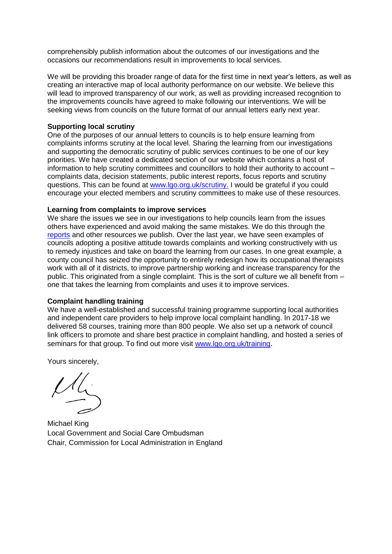comprehensibly publish information about the outcomes of our investigations and the occasions our recommendations result in improvements to local services.

We will be providing this broader range of data for the first time in next year's letters, as well as creating an interactive map of local authority performance on our website. We believe this will lead to improved transparency of our work, as well as providing increased recognition to the improvements councils have agreed to make following our interventions. We will be seeking views from councils on the future format of our annual letters early next year.

# **Supporting local scrutiny**

One of the purposes of our annual letters to councils is to help ensure learning from complaints informs scrutiny at the local level. Sharing the learning from our investigations and supporting the democratic scrutiny of public services continues to be one of our key priorities. We have created a dedicated section of our website which contains a host of information to help scrutiny committees and councillors to hold their authority to account – complaints data, decision statements, public interest reports, focus reports and scrutiny questions. This can be found at [www.lgo.org.uk/scrutiny.](http://www.lgo.org.uk/scrutiny) I would be grateful if you could encourage your elected members and scrutiny committees to make use of these resources.

## **Learning from complaints to improve services**

We share the issues we see in our investigations to help councils learn from the issues others have experienced and avoid making the same mistakes. We do this through the [reports](https://www.lgo.org.uk/information-centre/reports) and other resources we publish. Over the last year, we have seen examples of councils adopting a positive attitude towards complaints and working constructively with us to remedy injustices and take on board the learning from our cases. In one great example, a county council has seized the opportunity to entirely redesign how its occupational therapists work with all of it districts, to improve partnership working and increase transparency for the public. This originated from a single complaint. This is the sort of culture we all benefit from – one that takes the learning from complaints and uses it to improve services.

## **Complaint handling training**

We have a well-established and successful training programme supporting local authorities and independent care providers to help improve local complaint handling. In 2017-18 we delivered 58 courses, training more than 800 people. We also set up a network of council link officers to promote and share best practice in complaint handling, and hosted a series of seminars for that group. To find out more visit [www.lgo.org.uk/training](http://www.lgo.org.uk/training).

Yours sincerely,

Michael King Local Government and Social Care Ombudsman Chair, Commission for Local Administration in England